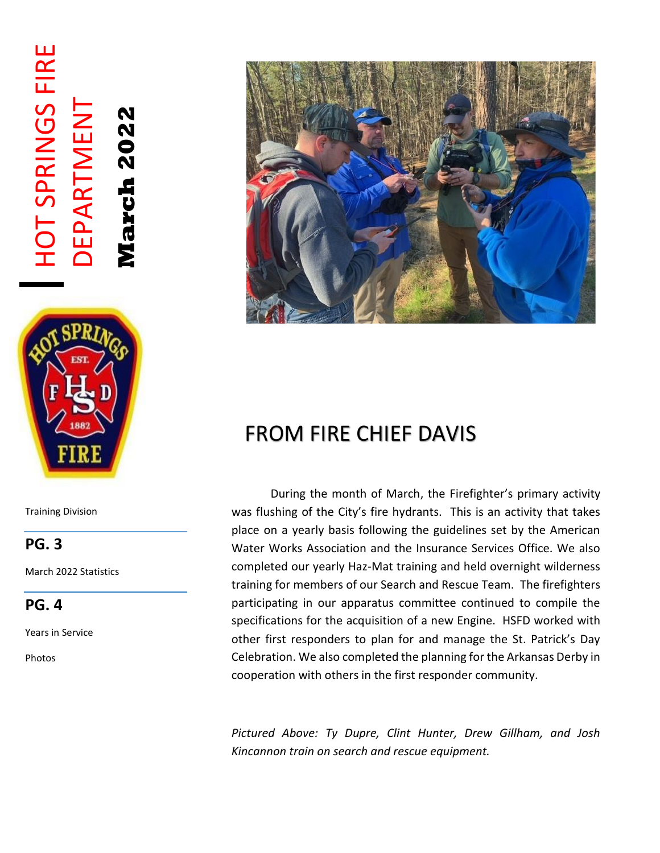# HOT SPRINGS FIRE **HOT SPRINGS FIRE** DEPARTMENT **DEPARTMENT March 2022**



Training Division

### **PG. 3**

March 2022 Statistics

#### **PG. 4**

Years in Service

Photos



### FROM FIRE CHIEF DAVIS

 During the month of March, the Firefighter's primary activity was flushing of the City's fire hydrants. This is an activity that takes place on a yearly basis following the guidelines set by the American Water Works Association and the Insurance Services Office. We also completed our yearly Haz-Mat training and held overnight wilderness training for members of our Search and Rescue Team. The firefighters participating in our apparatus committee continued to compile the specifications for the acquisition of a new Engine. HSFD worked with other first responders to plan for and manage the St. Patrick's Day Celebration. We also completed the planning for the Arkansas Derby in cooperation with others in the first responder community.

*Pictured Above: Ty Dupre, Clint Hunter, Drew Gillham, and Josh Kincannon train on search and rescue equipment.*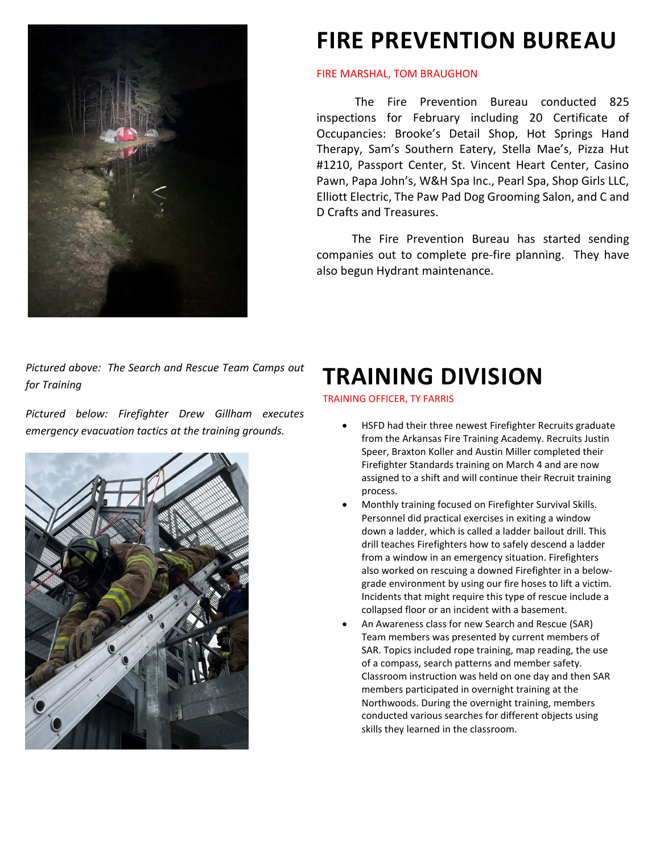

### **FIRE PREVENTION BUREAU**

#### FIRE MARSHAL, TOM BRAUGHON

The Fire Prevention Bureau conducted 825 inspections for February including 20 Certificate of Occupancies: Brooke's Detail Shop, Hot Springs Hand Therapy, Sam's Southern Eatery, Stella Mae's, Pizza Hut #1210, Passport Center, St. Vincent Heart Center, Casino Pawn, Papa John's, W&H Spa Inc., Pearl Spa, Shop Girls LLC, Elliott Electric, The Paw Pad Dog Grooming Salon, and C and D Crafts and Treasures.

 The Fire Prevention Bureau has started sending companies out to complete pre-fire planning. They have also begun Hydrant maintenance.

*Pictured above: The Search and Rescue Team Camps out for Training*

*Pictured below: Firefighter Drew Gillham executes emergency evacuation tactics at the training grounds.* 



### **TRAINING DIVISION**

TRAINING OFFICER, TY FARRIS

- HSFD had their three newest Firefighter Recruits graduate from the Arkansas Fire Training Academy. Recruits Justin Speer, Braxton Koller and Austin Miller completed their Firefighter Standards training on March 4 and are now assigned to a shift and will continue their Recruit training process.
- Monthly training focused on Firefighter Survival Skills. Personnel did practical exercises in exiting a window down a ladder, which is called a ladder bailout drill. This drill teaches Firefighters how to safely descend a ladder from a window in an emergency situation. Firefighters also worked on rescuing a downed Firefighter in a belowgrade environment by using our fire hoses to lift a victim. Incidents that might require this type of rescue include a collapsed floor or an incident with a basement.
- An Awareness class for new Search and Rescue (SAR) Team members was presented by current members of SAR. Topics included rope training, map reading, the use of a compass, search patterns and member safety. Classroom instruction was held on one day and then SAR members participated in overnight training at the Northwoods. During the overnight training, members conducted various searches for different objects using skills they learned in the classroom.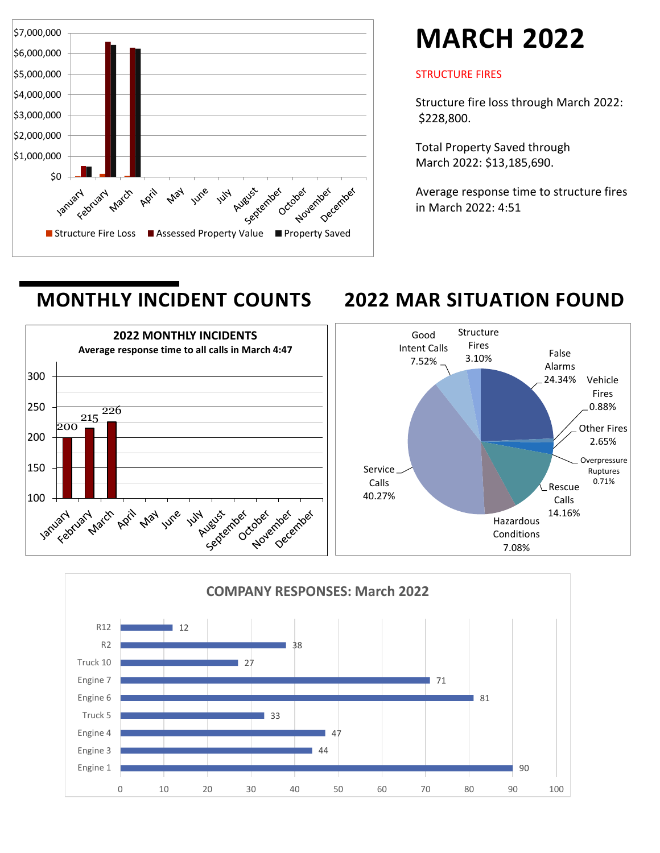

## **MARCH 2022**

#### STRUCTURE FIRES

Structure fire loss through March 2022: \$228,800.

Total Property Saved through March 2022: \$13,185,690.

Average response time to structure fires in March 2022: 4:51

### **MONTHLY INCIDENT COUNTS 2022 MAR SITUATION FOUND**